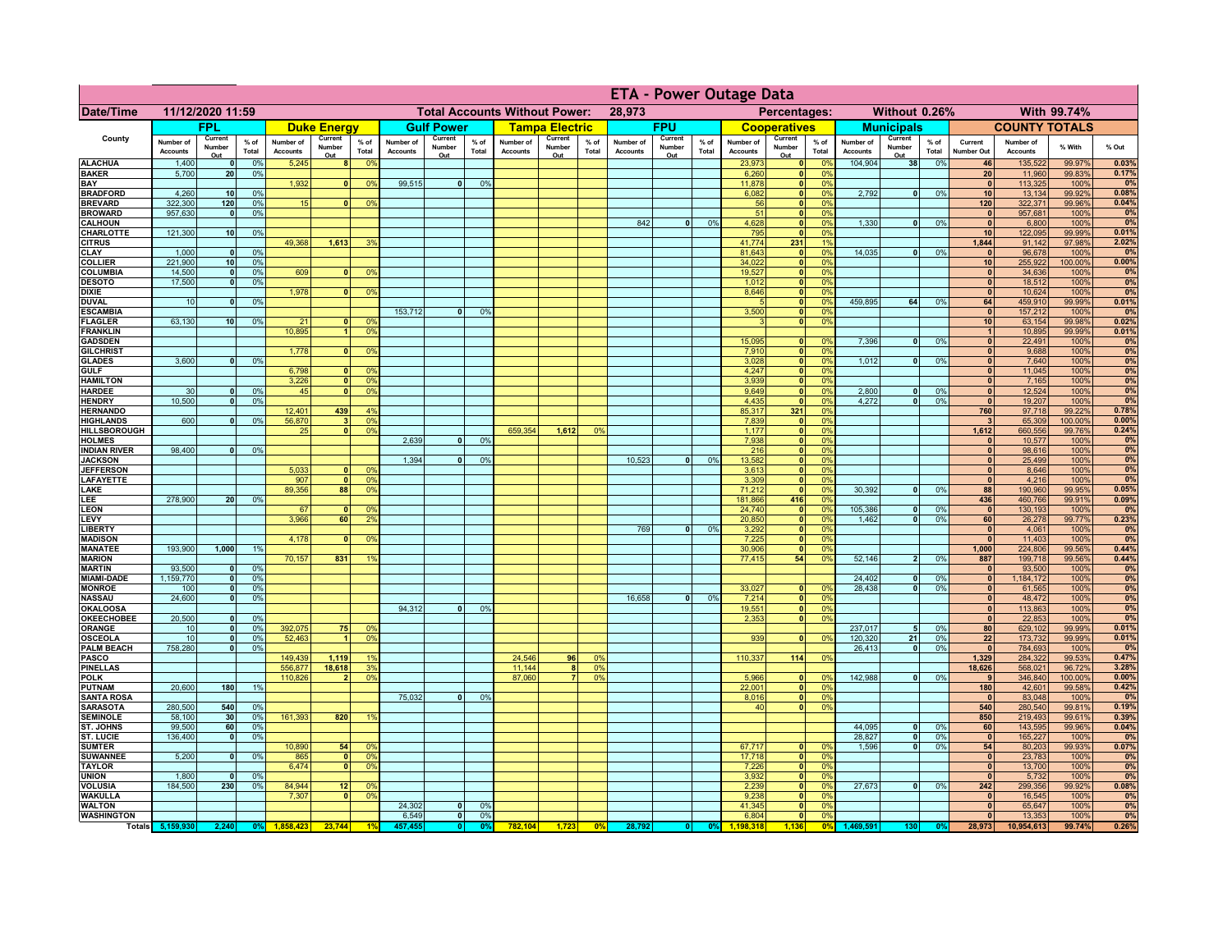|                                      |                              |                          |                      |                              |                          |                                                |                              |                          | <b>ETA - Power Outage Data</b> |                              |                                              |                                  |                              |                          |                 |                              |                              |                       |                              |                          |                 |                              |                              |                   |                |
|--------------------------------------|------------------------------|--------------------------|----------------------|------------------------------|--------------------------|------------------------------------------------|------------------------------|--------------------------|--------------------------------|------------------------------|----------------------------------------------|----------------------------------|------------------------------|--------------------------|-----------------|------------------------------|------------------------------|-----------------------|------------------------------|--------------------------|-----------------|------------------------------|------------------------------|-------------------|----------------|
| Date/Time                            | 11/12/2020 11:59             |                          |                      |                              |                          | <b>Total Accounts Without Power:</b><br>28,973 |                              |                          |                                |                              | Without 0.26%<br>With 99.74%<br>Percentages: |                                  |                              |                          |                 |                              |                              |                       |                              |                          |                 |                              |                              |                   |                |
|                                      |                              | <b>FPL</b>               |                      |                              | <b>Duke Energy</b>       |                                                |                              | <b>Gulf Power</b>        |                                |                              | <b>Tampa Electric</b>                        |                                  |                              | <b>FPU</b>               |                 |                              | <b>Cooperatives</b>          |                       |                              | <b>Municipals</b>        |                 |                              | <b>COUNTY TOTALS</b>         |                   |                |
| County                               | Number of<br><b>Accounts</b> | Current<br>Number<br>Out | $%$ of<br>Total      | Number of<br><b>Accounts</b> | Current<br>Number<br>Out | $%$ of<br>Total                                | Number of<br><b>Accounts</b> | Current<br>Number<br>Out | $%$ of<br>Total                | Number of<br><b>Accounts</b> | Current<br>Number<br>Out                     | % of<br>Total                    | Number of<br><b>Accounts</b> | Current<br>Number<br>Out | $%$ of<br>Total | Number of<br><b>Accounts</b> | Current<br>Number<br>Out     | $%$ of<br>Total       | Number of<br><b>Accounts</b> | Current<br>Number<br>Out | $%$ of<br>Total | Current<br>Number Out        | Number of<br><b>Accounts</b> | % With            | % Out          |
| <b>ALACHUA</b>                       | 1,400                        | $\Omega$                 | 0%                   | 5,245                        | 8 <sup>1</sup>           | 0%                                             |                              |                          |                                |                              |                                              |                                  |                              |                          |                 | 23,973                       | 0                            | 0 <sup>9</sup>        | 104,904                      | 38                       | 0%              | 46                           | 135,522                      | 99.97%            | 0.03%          |
| <b>BAKER</b><br>BAY                  | 5,700                        | 20                       | 0%                   | 1,932                        | $\mathbf{0}$             | 0%                                             | 99,515                       | $\overline{0}$           | 0%                             |                              |                                              |                                  |                              |                          |                 | 6,260<br>11.878              | 0 <br> 0                     | 0%<br>0%              |                              |                          |                 | 20<br>$\mathbf{0}$           | 11,960<br>113,325            | 99.83%<br>100%    | 0.17%<br>0%    |
| <b>BRADFORD</b>                      | 4,260                        | 10                       | 0%                   |                              |                          |                                                |                              |                          |                                |                              |                                              |                                  |                              |                          |                 | 6,082                        | 0                            | 0%                    | 2.792                        | $\overline{0}$           | 0%              | 10                           | 13,134                       | 99.92%            | 0.08%          |
| <b>BREVARD</b>                       | 322,300                      | 120                      | 0%                   | 15                           | n                        | 0 <sup>9</sup>                                 |                              |                          |                                |                              |                                              |                                  |                              |                          |                 | 56                           | $\mathbf{0}$                 | 0%                    |                              |                          |                 | 120                          | 322,371                      | 99.96%            | 0.04%          |
| <b>BROWARD</b>                       | 957,630                      | $\mathbf{0}$             | 0%                   |                              |                          |                                                |                              |                          |                                |                              |                                              |                                  |                              |                          |                 | 51                           | $\mathbf{0}$                 | 0%                    |                              | 0                        |                 | $\mathbf{0}$                 | 957,681                      | 100%              | 0%             |
| <b>CALHOUN</b><br>CHARLOTTE          | 121,300                      | 10                       | 0%                   |                              |                          |                                                |                              |                          |                                |                              |                                              |                                  | 842                          | $\bullet$                | 0%              | 4,628<br>795                 | $\mathbf{0}$<br>$\mathbf{0}$ | 0%<br>0%              | 1,330                        |                          | 0%              | $\mathbf{0}$<br>10           | 6,800<br>122,095             | 100%<br>99.99%    | 0%<br>0.01%    |
| <b>CITRUS</b>                        |                              |                          |                      | 49,368                       | 1,613                    | 39                                             |                              |                          |                                |                              |                                              |                                  |                              |                          |                 | 41,774                       | 231                          | 1 <sup>9</sup>        |                              |                          |                 | 1,844                        | 91,142                       | 97.98%            | 2.02%          |
| <b>CLAY</b>                          | 1,000                        | $\mathbf{0}$             | 0%                   |                              |                          |                                                |                              |                          |                                |                              |                                              |                                  |                              |                          |                 | 81,643                       | 0                            | 0%                    | 14,035                       | -ol                      | 0%              | $\mathbf{0}$                 | 96,678                       | 100%              | 0%             |
| <b>COLLIER</b><br><b>COLUMBIA</b>    | 221,900<br>14,500            | 10<br> 0                 | 0%<br>0%             | 609                          | $\mathbf{0}$             | 0%                                             |                              |                          |                                |                              |                                              |                                  |                              |                          |                 | 34,022<br>19,527             | 0 <br> 0                     | 0%<br>0%              |                              |                          |                 | 10<br> 0                     | 255,922<br>34,636            | 100.00%<br>100%   | 0.00%<br>0%    |
| <b>DESOTO</b>                        | 17,500                       | $\mathbf{0}$             | 0%                   |                              |                          |                                                |                              |                          |                                |                              |                                              |                                  |                              |                          |                 | 1,012                        | 0                            | 0%                    |                              |                          |                 | 0                            | 18,512                       | 100%              | 0%             |
| <b>DIXIE</b>                         |                              |                          |                      | 1,978                        | $\Omega$                 | 0%                                             |                              |                          |                                |                              |                                              |                                  |                              |                          |                 | 8,646                        | $\overline{\bullet}$         | 0%                    |                              |                          |                 | 0                            | 10,624                       | 100%              | 0%             |
| <b>DUVAL</b>                         | 10                           | $\mathbf{0}$             | 0%                   |                              |                          |                                                |                              |                          |                                |                              |                                              |                                  |                              |                          |                 | $\sqrt{2}$                   | 0                            | 0%                    | 459.895                      | 64                       | 0%              | 64                           | 459,910                      | 99.99%            | 0.01%          |
| <b>ESCAMBIA</b><br><b>FLAGLER</b>    | 63,130                       | 10                       | 0%                   | 21                           | $\mathbf{0}$             | 0 <sup>9</sup>                                 | 153,712                      | 0                        | 0%                             |                              |                                              |                                  |                              |                          |                 | 3,500<br>$\mathbf{R}$        | 0 <br> 0                     | 0%<br>0%              |                              |                          |                 | 0 <br>10                     | 157,212<br>63,154            | 100%<br>99.98%    | 0%<br>0.02%    |
| <b>FRANKLIN</b>                      |                              |                          |                      | 10,895                       | $\overline{1}$           | 0 <sup>9</sup>                                 |                              |                          |                                |                              |                                              |                                  |                              |                          |                 |                              |                              |                       |                              |                          |                 | $\vert$                      | 10,895                       | 99.99%            | 0.01%          |
| <b>GADSDEN</b>                       |                              |                          |                      |                              |                          |                                                |                              |                          |                                |                              |                                              |                                  |                              |                          |                 | 15,095                       | 0                            | 0%                    | 7,396                        | $\overline{0}$           | 0%              | 0                            | 22,491                       | 100%              | 0%             |
| <b>GILCHRIST</b><br><b>GLADES</b>    | 3,600                        | $\mathbf{0}$             | 0%                   | 1,778                        | $\mathbf{0}$             | 0 <sup>9</sup>                                 |                              |                          |                                |                              |                                              |                                  |                              |                          |                 | 7,910<br>3,028               | 0 <br> 0                     | 0%<br>0%              | 1,012                        | $\overline{0}$           | 0%              | 0 <br>$\overline{0}$         | 9,688<br>7,640               | 100%<br>100%      | 0%<br>0%       |
| <b>GULF</b>                          |                              |                          |                      | 6,798                        | n١                       | 0 <sup>9</sup>                                 |                              |                          |                                |                              |                                              |                                  |                              |                          |                 | 4,247                        | 0                            | 0%                    |                              |                          |                 | $\overline{0}$               | 11,045                       | 100%              | 0%             |
| <b>HAMILTON</b>                      |                              |                          |                      | 3,226                        | $\overline{\mathbf{0}}$  | 0 <sup>9</sup>                                 |                              |                          |                                |                              |                                              |                                  |                              |                          |                 | 3,939                        | 0                            | 0%                    |                              |                          |                 | $\overline{0}$               | 7,165                        | 100%              | 0%             |
| <b>HARDEE</b>                        | 30                           | $\Omega$                 | 0%                   | 45                           | $\mathbf{0}$             | 0 <sup>9</sup>                                 |                              |                          |                                |                              |                                              |                                  |                              |                          |                 | 9,649                        | 0                            | 0%                    | 2.800                        | $\mathbf{0}$             | 0%              | $\mathbf{0}$                 | 12,524                       | 100%              | 0%             |
| <b>HENDRY</b><br><b>HERNANDO</b>     | 10,500                       | $\Omega$                 | 0%                   | 12,401                       | 439                      | 4 <sup>9</sup>                                 |                              |                          |                                |                              |                                              |                                  |                              |                          |                 | 4,435<br>85,317              | 0 <br>321                    | 0%<br>0%              | 4,272                        | $\Omega$                 | 0%              | $\mathbf{0}$<br>760          | 19,207<br>97,718             | 100%<br>99.22%    | 0%<br>0.78%    |
| <b>HIGHLANDS</b>                     | 600                          | $\mathbf{0}$             | 0%                   | 56,870                       | $\overline{\mathbf{3}}$  | 0 <sup>9</sup>                                 |                              |                          |                                |                              |                                              |                                  |                              |                          |                 | 7,839                        | 0                            | 0%                    |                              |                          |                 | $\overline{\mathbf{3}}$      | 65,309                       | 100.00%           | 0.00%          |
| HILLSBOROUGH                         |                              |                          |                      | 25                           | $\mathbf{0}$             | 0 <sup>9</sup>                                 |                              |                          |                                | 659,354                      | 1,612                                        | 0 <sup>9</sup>                   |                              |                          |                 | 1,177                        | 0                            | 0%                    |                              |                          |                 | 1,612                        | 660,556                      | 99.76%            | 0.24%          |
| <b>HOLMES</b><br><b>INDIAN RIVER</b> | 98,400                       | $\Omega$                 | 0%                   |                              |                          |                                                | 2,639                        |                          | 0%                             |                              |                                              |                                  |                              |                          |                 | 7,938<br>216                 | 0 <br>$\mathbf{0}$           | 0%<br>0%              |                              |                          |                 | $\mathbf{0}$<br> 0           | 10,577<br>98,616             | 100%<br>100%      | 0%<br>0%       |
| <b>JACKSON</b>                       |                              |                          |                      |                              |                          |                                                | 1,394                        |                          | 0%                             |                              |                                              |                                  | 10,523                       | $\Omega$                 | 0%              | 13,582                       | $\mathbf{0}$                 | 0%                    |                              |                          |                 | 0                            | 25,499                       | 100%              | 0%             |
| <b>JEFFERSON</b>                     |                              |                          |                      | 5,033                        | O.                       | 0 <sup>9</sup>                                 |                              |                          |                                |                              |                                              |                                  |                              |                          |                 | 3,613                        | $\mathbf{0}$                 | 0%                    |                              |                          |                 | 0                            | 8,646                        | 100%              | 0%             |
| <b>LAFAYETTE</b>                     |                              |                          |                      | 907                          | $\overline{0}$           | 0 <sup>9</sup>                                 |                              |                          |                                |                              |                                              |                                  |                              |                          |                 | 3,309                        | $\mathbf{0}$                 | 0%                    |                              |                          |                 | $\mathbf{0}$                 | 4,216                        | 100%              | 0%             |
| LAKE<br>LEE                          | 278,900                      | 20 <sub>1</sub>          | 0%                   | 89,356                       | 88                       | 0 <sup>9</sup>                                 |                              |                          |                                |                              |                                              |                                  |                              |                          |                 | 71,212<br>181,866            | $\mathbf{0}$<br>416          | 0%<br>0%              | 30,392                       | $\overline{0}$           | 0%              | 88<br>436                    | 190,960<br>460,766           | 99.95%<br>99.91%  | 0.05%<br>0.09% |
| <b>LEON</b>                          |                              |                          |                      | 67                           | $\mathbf{0}$             | 0 <sup>9</sup>                                 |                              |                          |                                |                              |                                              |                                  |                              |                          |                 | 24,740                       | 0                            | 0%                    | 105,386                      | 0                        | 0%              | $\bullet$                    | 130,193                      | 100%              | 0%             |
| LEVY                                 |                              |                          |                      | 3,966                        | 60                       | 2 <sup>9</sup>                                 |                              |                          |                                |                              |                                              |                                  |                              |                          |                 | 20,850                       | 0                            | 0%                    | 1,462                        | 0                        | 0%              | 60                           | 26,278                       | 99.77%            | 0.23%          |
| <b>LIBERTY</b><br><b>MADISON</b>     |                              |                          |                      | 4,178                        | $\Omega$                 | 0%                                             |                              |                          |                                |                              |                                              |                                  | 769                          | 0                        | 0%              | 3,292<br>7,225               | 0 <br> 0                     | 0%<br>0%              |                              |                          |                 | 0 <br> 0                     | 4,061<br>11,403              | 100%<br>100%      | 0%<br>0%       |
| <b>MANATEE</b>                       | 193,900                      | 1,000                    | 1%                   |                              |                          |                                                |                              |                          |                                |                              |                                              |                                  |                              |                          |                 | 30,906                       | 0                            | 0%                    |                              |                          |                 | 1,000                        | 224,806                      | 99.56%            | 0.44%          |
| <b>MARION</b>                        |                              |                          |                      | 70,157                       | 831                      | 19                                             |                              |                          |                                |                              |                                              |                                  |                              |                          |                 | 77,415                       | 54                           | 0%                    | 52,146                       | 2 <sup>1</sup>           | 0%              | 887                          | 199,718                      | 99.56%            | 0.44%          |
| <b>MARTIN</b>                        | 93,500                       | $\mathbf{0}$             | 0%                   |                              |                          |                                                |                              |                          |                                |                              |                                              |                                  |                              |                          |                 |                              |                              |                       |                              |                          |                 | 0                            | 93,500                       | 100%              | 0%<br>0%       |
| <b>MIAMI-DADE</b><br><b>MONROE</b>   | 1,159,770<br>100             | 0 <br>- O I              | 0%<br>0%             |                              |                          |                                                |                              |                          |                                |                              |                                              |                                  |                              |                          |                 | 33,027                       | 0                            | $\Omega$ <sup>9</sup> | 24,402<br>28,438             | $\mathbf{0}$<br> 0       | 0%<br>0%        | 0 <br> 0                     | 1,184,172<br>61,565          | 100%<br>100%      | 0%             |
| <b>NASSAU</b>                        | 24,600                       | - O I                    | 0%                   |                              |                          |                                                |                              |                          |                                |                              |                                              |                                  | 16,658                       | 0                        | 0%              | 7,214                        | 0                            | 0%                    |                              |                          |                 | 0                            | 48,472                       | 100%              | 0%             |
| <b>OKALOOSA</b>                      |                              |                          |                      |                              |                          |                                                | 94,312                       | 0                        | 0%                             |                              |                                              |                                  |                              |                          |                 | 19,551                       | 0                            | 0%                    |                              |                          |                 | 0                            | 113,863                      | 100%              | 0%             |
| <b>OKEECHOBEE</b><br><b>ORANGE</b>   | 20,500<br>10                 | 0 <br> 0                 | 0%<br>0 <sup>9</sup> | 392,075                      | 75                       | 0 <sup>9</sup>                                 |                              |                          |                                |                              |                                              |                                  |                              |                          |                 | 2,353                        | 0                            | 0%                    | 237,017                      | 5 <sub>5</sub>           | 0%              | 0 <br>80                     | 22,853<br>629,102            | 100%<br>99.99%    | 0%<br>0.01%    |
| <b>OSCEOLA</b>                       | 10                           | 0                        | 0%                   | 52,463                       | -1                       | 0 <sup>9</sup>                                 |                              |                          |                                |                              |                                              |                                  |                              |                          |                 | 939                          | 0                            | 0%                    | 120,320                      | 21                       | 0%              | 22                           | 173,732                      | 99.99%            | 0.01%          |
| <b>PALM BEACH</b>                    | 758,280                      | 0                        | 0%                   |                              |                          |                                                |                              |                          |                                |                              |                                              |                                  |                              |                          |                 |                              |                              |                       | 26,413                       | $\overline{\phantom{0}}$ | 0%              | 0                            | 784,693                      | 100%              | 0%             |
| <b>PASCO</b>                         |                              |                          |                      | 149,439                      | 1,119                    |                                                |                              |                          |                                | 24,546                       | 96                                           | $\Omega$                         |                              |                          |                 | 110,337                      | $114$                        | 0%                    |                              |                          |                 | 1,329                        | 284,322                      | 99.53%            | 0.47%          |
| <b>PINELLAS</b><br><b>POLK</b>       |                              |                          |                      | 556,877<br>110,826           | 18,618<br>$\mathbf{2}$   | 3 <sup>0</sup><br>0 <sup>9</sup>               |                              |                          |                                | 11,144<br>87,060             | 8 <sup>1</sup>                               | 0 <sup>9</sup><br>0 <sup>o</sup> |                              |                          |                 | 5,966                        | 0                            | $\Omega$ <sup>o</sup> | 142,988                      | 0                        | 0%              | 18,626<br>9                  | 568,021<br>346,840           | 96.72%<br>100.00% | 3.28%<br>0.00% |
| <b>PUTNAM</b>                        | 20,600                       | 180                      | 1%                   |                              |                          |                                                |                              |                          |                                |                              |                                              |                                  |                              |                          |                 | 22,001                       | 0                            | 0%                    |                              |                          |                 | 180                          | 42,601                       | 99.58%            | 0.42%          |
| <b>SANTA ROSA</b>                    |                              |                          |                      |                              |                          |                                                | 75,032                       | $\mathbf{0}$             | 0%                             |                              |                                              |                                  |                              |                          |                 | 8,016                        | 0                            | 0%                    |                              |                          |                 | $\mathbf{0}$                 | 83,048                       | 100%              | 0%             |
| <b>SARASOTA</b><br><b>SEMINOLE</b>   | 280,500<br>58,100            | 540<br>30                | 0%<br>0%             | 161,393                      | 820                      | 1 <sup>9</sup>                                 |                              |                          |                                |                              |                                              |                                  |                              |                          |                 | 40                           | 0                            | 0%                    |                              |                          |                 | 540<br>850                   | 280,540<br>219,493           | 99.81%<br>99.61%  | 0.19%<br>0.39% |
| ST. JOHNS                            | 99,500                       | 60                       | 0%                   |                              |                          |                                                |                              |                          |                                |                              |                                              |                                  |                              |                          |                 |                              |                              |                       | 44,095                       | -ol                      | 0%              | 60                           | 143,595                      | 99.96%            | 0.04%          |
| <b>ST. LUCIE</b>                     | 136,400                      | $\mathbf{0}$             | 0%                   |                              |                          |                                                |                              |                          |                                |                              |                                              |                                  |                              |                          |                 |                              |                              |                       | 28,827                       | 0                        | 0%              | $\mathbf{0}$                 | 165,227                      | 100%              | 0%             |
| <b>SUMTER</b>                        |                              |                          |                      | 10,890                       | 54                       | 0 <sup>6</sup>                                 |                              |                          |                                |                              |                                              |                                  |                              |                          |                 | 67,717<br>17,718             | $\mathbf{0}$                 | 0 <sup>9</sup>        | 1,596                        | $\overline{\phantom{0}}$ | 0%              | 54                           | 80,203                       | 99.93%            | 0.07%          |
| <b>SUWANNEE</b><br><b>TAYLOR</b>     | 5,200                        | $\mathbf{0}$             | 0%                   | 865<br>6,474                 | 0 <br>$\Omega$           | 0 <sup>9</sup><br>0 <sup>9</sup>               |                              |                          |                                |                              |                                              |                                  |                              |                          |                 | 7,226                        | 0 <br> 0                     | 0%<br>0%              |                              |                          |                 | $\mathbf{0}$<br>$\mathbf{0}$ | 23,783<br>13,700             | 100%<br>100%      | 0%<br>0%       |
| <b>UNION</b>                         | 1,800                        | $\mathbf 0$              | 0%                   |                              |                          |                                                |                              |                          |                                |                              |                                              |                                  |                              |                          |                 | 3,932                        | 0                            | 0%                    |                              |                          |                 | $\mathbf{0}$                 | 5,732                        | 100%              | 0%             |
| <b>VOLUSIA</b>                       | 184,500                      | 230                      | 0%                   | 84,944                       | 12                       | 0 <sup>9</sup>                                 |                              |                          |                                |                              |                                              |                                  |                              |                          |                 | 2,239                        | 0                            | 0%                    | 27,673                       | $\overline{0}$           | 0%              | 242                          | 299,356                      | 99.92%            | 0.08%          |
| <b>WAKULLA</b><br><b>WALTON</b>      |                              |                          |                      | 7,307                        | - O I                    | 0 <sup>9</sup>                                 | 24,302                       | 0                        | 0%                             |                              |                                              |                                  |                              |                          |                 | 9,238<br>41,345              | 0 <br> 0                     | 0%<br>0%              |                              |                          |                 | $\mathbf{0}$<br>$\mathbf{0}$ | 16,545<br>65,647             | 100%<br>100%      | 0%<br>0%       |
| <b>WASHINGTON</b>                    |                              |                          |                      |                              |                          |                                                | 6,549                        | $\overline{\mathbf{0}}$  | 0%                             |                              |                                              |                                  |                              |                          |                 | 6,804                        | $\overline{\mathbf{0}}$      | 0%                    |                              |                          |                 | 0                            | 13,353                       | 100%              | 0%             |
|                                      | Totals 5,159,930             | 2,240                    | 0%                   | 1.858.423                    | 23,744                   |                                                | 457,455                      | 0                        | 0 <sup>9</sup>                 | 782,104                      | 1,723                                        | 0 <sup>9</sup>                   | 28,792                       |                          | 0%              | 1.198.318                    | 1,136                        | 0 <sup>9</sup>        | 1,469,591                    | 130                      |                 | 28,973                       | 10,954,613                   | 99.74%            | 0.26%          |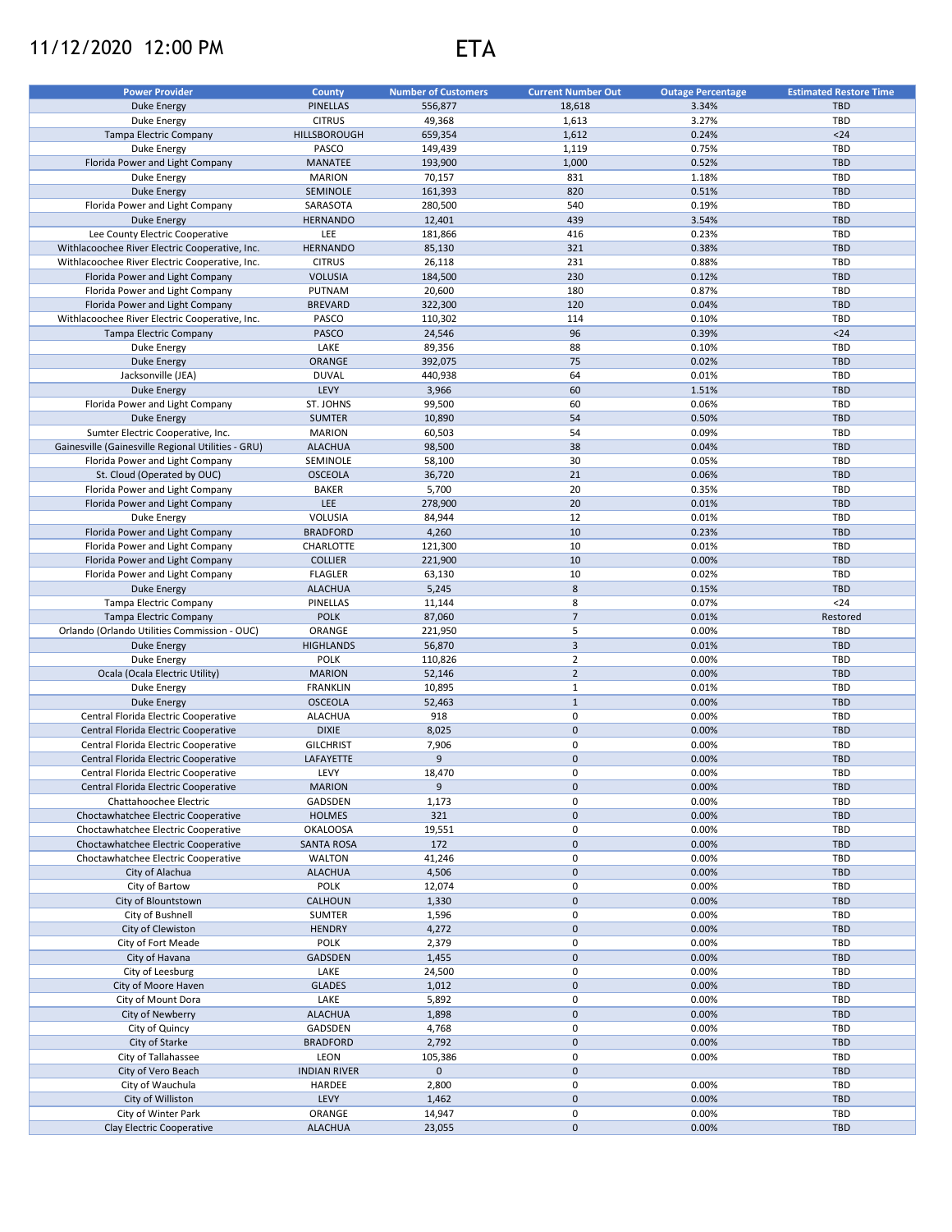## 11/12/2020 12:00 PM ETA



| <b>Power Provider</b>                              | <b>County</b>       | <b>Number of Customers</b> | <b>Current Number Out</b> | <b>Outage Percentage</b> | <b>Estimated Restore Time</b> |
|----------------------------------------------------|---------------------|----------------------------|---------------------------|--------------------------|-------------------------------|
| <b>Duke Energy</b>                                 | <b>PINELLAS</b>     | 556,877                    | 18,618                    | 3.34%                    | <b>TBD</b>                    |
| Duke Energy                                        | <b>CITRUS</b>       | 49,368                     | 1,613                     | 3.27%                    | TBD                           |
| Tampa Electric Company                             | HILLSBOROUGH        | 659,354                    | 1,612                     | 0.24%                    | $24$                          |
| Duke Energy                                        | PASCO               | 149,439                    | 1,119                     | 0.75%                    | TBD                           |
| Florida Power and Light Company                    | <b>MANATEE</b>      | 193,900                    | 1,000                     | 0.52%                    | <b>TBD</b>                    |
|                                                    | <b>MARION</b>       |                            | 831                       | 1.18%                    | <b>TBD</b>                    |
| Duke Energy                                        | SEMINOLE            | 70,157                     | 820                       | 0.51%                    | <b>TBD</b>                    |
| <b>Duke Energy</b>                                 |                     | 161,393                    |                           |                          |                               |
| Florida Power and Light Company                    | SARASOTA            | 280,500                    | 540                       | 0.19%                    | <b>TBD</b>                    |
| <b>Duke Energy</b>                                 | <b>HERNANDO</b>     | 12,401                     | 439                       | 3.54%                    | <b>TBD</b>                    |
| Lee County Electric Cooperative                    | <b>LEE</b>          | 181,866                    | 416                       | 0.23%                    | <b>TBD</b>                    |
| Withlacoochee River Electric Cooperative, Inc.     | <b>HERNANDO</b>     | 85,130                     | 321                       | 0.38%                    | <b>TBD</b>                    |
| Withlacoochee River Electric Cooperative, Inc.     | <b>CITRUS</b>       | 26,118                     | 231                       | 0.88%                    | TBD                           |
| Florida Power and Light Company                    | <b>VOLUSIA</b>      | 184,500                    | 230                       | 0.12%                    | <b>TBD</b>                    |
| Florida Power and Light Company                    | PUTNAM              | 20,600                     | 180                       | 0.87%                    | <b>TBD</b>                    |
| Florida Power and Light Company                    | <b>BREVARD</b>      | 322,300                    | 120                       | 0.04%                    | <b>TBD</b>                    |
| Withlacoochee River Electric Cooperative, Inc.     | PASCO               | 110,302                    | 114                       | 0.10%                    | <b>TBD</b>                    |
| Tampa Electric Company                             | PASCO               | 24,546                     | 96                        | 0.39%                    | $24$                          |
| Duke Energy                                        | LAKE                | 89,356                     | 88                        | 0.10%                    | <b>TBD</b>                    |
| Duke Energy                                        | ORANGE              | 392,075                    | 75                        | 0.02%                    | <b>TBD</b>                    |
| Jacksonville (JEA)                                 | <b>DUVAL</b>        | 440,938                    | 64                        | 0.01%                    | <b>TBD</b>                    |
| Duke Energy                                        | LEVY                | 3,966                      | 60                        | 1.51%                    | <b>TBD</b>                    |
| Florida Power and Light Company                    | ST. JOHNS           | 99,500                     | 60                        | 0.06%                    | <b>TBD</b>                    |
| Duke Energy                                        | <b>SUMTER</b>       | 10,890                     | 54                        | 0.50%                    | <b>TBD</b>                    |
| Sumter Electric Cooperative, Inc.                  | <b>MARION</b>       | 60,503                     | 54                        | 0.09%                    | TBD                           |
| Gainesville (Gainesville Regional Utilities - GRU) | <b>ALACHUA</b>      | 98,500                     | 38                        | 0.04%                    | <b>TBD</b>                    |
| Florida Power and Light Company                    | SEMINOLE            | 58,100                     | 30                        | 0.05%                    | TBD                           |
| St. Cloud (Operated by OUC)                        | <b>OSCEOLA</b>      | 36,720                     | 21                        | 0.06%                    | <b>TBD</b>                    |
| Florida Power and Light Company                    | <b>BAKER</b>        | 5,700                      | 20                        | 0.35%                    | <b>TBD</b>                    |
|                                                    | <b>LEE</b>          |                            | 20                        |                          |                               |
| Florida Power and Light Company                    |                     | 278,900                    |                           | 0.01%                    | <b>TBD</b>                    |
| Duke Energy                                        | VOLUSIA             | 84,944                     | 12                        | 0.01%                    | <b>TBD</b>                    |
| Florida Power and Light Company                    | <b>BRADFORD</b>     | 4,260                      | 10                        | 0.23%                    | <b>TBD</b>                    |
| Florida Power and Light Company                    | CHARLOTTE           | 121,300                    | 10                        | 0.01%                    | <b>TBD</b>                    |
| Florida Power and Light Company                    | <b>COLLIER</b>      | 221,900                    | 10                        | 0.00%                    | <b>TBD</b>                    |
| Florida Power and Light Company                    | <b>FLAGLER</b>      | 63,130                     | 10                        | 0.02%                    | <b>TBD</b>                    |
| Duke Energy                                        | <b>ALACHUA</b>      | 5,245                      | $\bf 8$                   | 0.15%                    | <b>TBD</b>                    |
| Tampa Electric Company                             | PINELLAS            | 11,144                     | 8                         | 0.07%                    | $24$                          |
| Tampa Electric Company                             | <b>POLK</b>         | 87,060                     | $\overline{7}$            | 0.01%                    | Restored                      |
| Orlando (Orlando Utilities Commission - OUC)       | ORANGE              | 221,950                    | 5                         | 0.00%                    | TBD                           |
| Duke Energy                                        | <b>HIGHLANDS</b>    | 56,870                     | $\overline{3}$            | 0.01%                    | <b>TBD</b>                    |
| Duke Energy                                        | <b>POLK</b>         | 110,826                    | $\overline{2}$            | 0.00%                    | TBD                           |
| Ocala (Ocala Electric Utility)                     | <b>MARION</b>       | 52,146                     | $\overline{2}$            | 0.00%                    | <b>TBD</b>                    |
| Duke Energy                                        | <b>FRANKLIN</b>     | 10,895                     | $\mathbf{1}$              | 0.01%                    | <b>TBD</b>                    |
| <b>Duke Energy</b>                                 | <b>OSCEOLA</b>      | 52,463                     | $\mathbf{1}$              | 0.00%                    | <b>TBD</b>                    |
| Central Florida Electric Cooperative               | <b>ALACHUA</b>      | 918                        | $\mathsf 0$               | 0.00%                    | <b>TBD</b>                    |
| Central Florida Electric Cooperative               | <b>DIXIE</b>        | 8,025                      | $\mathbf 0$               | 0.00%                    | <b>TBD</b>                    |
| Central Florida Electric Cooperative               | <b>GILCHRIST</b>    | 7,906                      | 0                         | 0.00%                    | <b>TBD</b>                    |
| Central Florida Electric Cooperative               | LAFAYETTE           | 9                          | $\mathbf 0$               | 0.00%                    | <b>TBD</b>                    |
| Central Florida Electric Cooperative               | LEVY                | 18,470                     | $\mathbf 0$               | 0.00%                    | TBD                           |
| Central Florida Electric Cooperative               | <b>MARION</b>       | 9                          | $\mathbf 0$               | 0.00%                    | <b>TBD</b>                    |
|                                                    |                     |                            | 0                         | 0.00%                    | TBD                           |
| Chattahoochee Electric                             | GADSDEN             | 1,173                      |                           |                          |                               |
| Choctawhatchee Electric Cooperative                | <b>HOLMES</b>       | 321                        | $\mathbf 0$               | 0.00%                    | <b>TBD</b>                    |
| Choctawhatchee Electric Cooperative                | <b>OKALOOSA</b>     | 19,551                     | 0                         | 0.00%                    | <b>TBD</b>                    |
| Choctawhatchee Electric Cooperative                | <b>SANTA ROSA</b>   | 172                        | $\mathbf 0$               | 0.00%                    | <b>TBD</b>                    |
| Choctawhatchee Electric Cooperative                | <b>WALTON</b>       | 41,246                     | $\pmb{0}$                 | 0.00%                    | <b>TBD</b>                    |
| City of Alachua                                    | <b>ALACHUA</b>      | 4,506                      | $\mathbf 0$               | 0.00%                    | <b>TBD</b>                    |
| City of Bartow                                     | <b>POLK</b>         | 12,074                     | 0                         | 0.00%                    | <b>TBD</b>                    |
| City of Blountstown                                | CALHOUN             | 1,330                      | $\mathsf{O}\xspace$       | 0.00%                    | TBD                           |
| City of Bushnell                                   | SUMTER              | 1,596                      | 0                         | 0.00%                    | <b>TBD</b>                    |
| City of Clewiston                                  | <b>HENDRY</b>       | 4,272                      | $\mathsf{O}\xspace$       | 0.00%                    | <b>TBD</b>                    |
| City of Fort Meade                                 | <b>POLK</b>         | 2,379                      | 0                         | 0.00%                    | TBD                           |
| City of Havana                                     | GADSDEN             | 1,455                      | $\mathbf 0$               | 0.00%                    | <b>TBD</b>                    |
| City of Leesburg                                   | LAKE                | 24,500                     | 0                         | 0.00%                    | TBD                           |
| City of Moore Haven                                | <b>GLADES</b>       | 1,012                      | $\mathsf{O}\xspace$       | 0.00%                    | TBD                           |
| City of Mount Dora                                 | LAKE                | 5,892                      | $\pmb{0}$                 | 0.00%                    | TBD                           |
| City of Newberry                                   | <b>ALACHUA</b>      | 1,898                      | $\mathsf{O}\xspace$       | 0.00%                    | <b>TBD</b>                    |
| City of Quincy                                     | GADSDEN             | 4,768                      | $\pmb{0}$                 | 0.00%                    | TBD                           |
| City of Starke                                     | <b>BRADFORD</b>     | 2,792                      | $\mathsf{O}\xspace$       | 0.00%                    | TBD                           |
| City of Tallahassee                                | LEON                | 105,386                    | 0                         | 0.00%                    | <b>TBD</b>                    |
| City of Vero Beach                                 | <b>INDIAN RIVER</b> | $\mathbf 0$                | $\mathbf 0$               |                          | <b>TBD</b>                    |
| City of Wauchula                                   | HARDEE              | 2,800                      | 0                         | 0.00%                    | <b>TBD</b>                    |
| City of Williston                                  | LEVY                |                            | $\pmb{0}$                 |                          | <b>TBD</b>                    |
| City of Winter Park                                | ORANGE              | 1,462                      | 0                         | 0.00%<br>0.00%           | <b>TBD</b>                    |
|                                                    |                     | 14,947                     |                           |                          |                               |
| Clay Electric Cooperative                          | <b>ALACHUA</b>      | 23,055                     | $\pmb{0}$                 | 0.00%                    | <b>TBD</b>                    |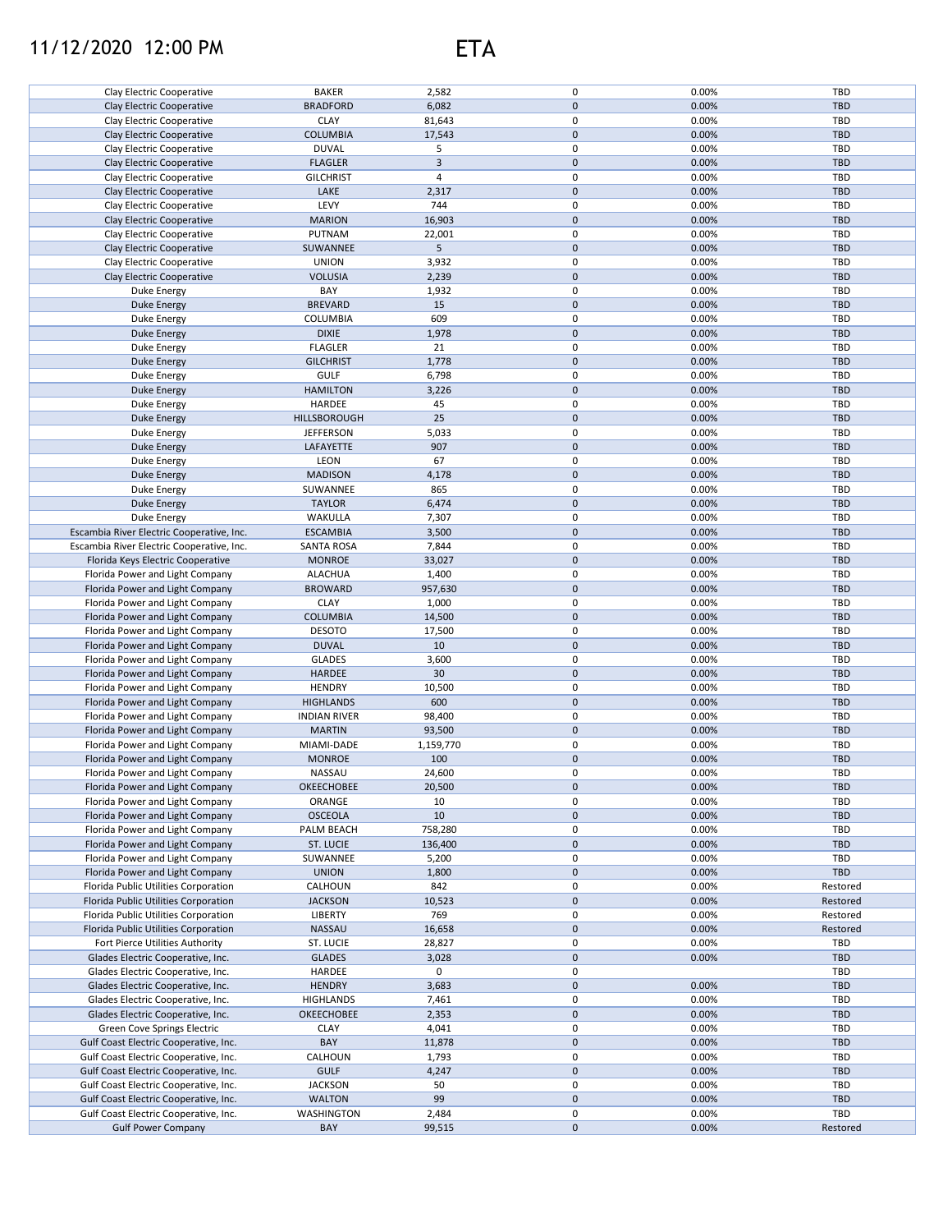## 11/12/2020 12:00 PM ETA



| Clay Electric Cooperative                 | <b>BAKER</b>        | 2,582          | 0                   | 0.00% | TBD        |
|-------------------------------------------|---------------------|----------------|---------------------|-------|------------|
|                                           |                     |                | $\mathbf 0$         |       |            |
| <b>Clay Electric Cooperative</b>          | <b>BRADFORD</b>     | 6,082          |                     | 0.00% | TBD        |
| Clay Electric Cooperative                 | <b>CLAY</b>         | 81,643         | 0                   | 0.00% | TBD        |
| <b>Clay Electric Cooperative</b>          | <b>COLUMBIA</b>     | 17,543         | $\mathbf 0$         | 0.00% | TBD        |
|                                           |                     |                |                     |       |            |
| Clay Electric Cooperative                 | <b>DUVAL</b>        | 5              | 0                   | 0.00% | TBD        |
| Clay Electric Cooperative                 | <b>FLAGLER</b>      | $\mathbf{3}$   | $\mathbf 0$         | 0.00% | TBD        |
|                                           |                     | $\overline{4}$ | 0                   |       | TBD        |
| Clay Electric Cooperative                 | <b>GILCHRIST</b>    |                |                     | 0.00% |            |
| Clay Electric Cooperative                 | LAKE                | 2,317          | 0                   | 0.00% | <b>TBD</b> |
| Clay Electric Cooperative                 | LEVY                | 744            | 0                   | 0.00% | TBD        |
|                                           |                     |                |                     |       |            |
| Clay Electric Cooperative                 | <b>MARION</b>       | 16,903         | 0                   | 0.00% | <b>TBD</b> |
| Clay Electric Cooperative                 | PUTNAM              | 22,001         | 0                   | 0.00% | TBD        |
|                                           |                     |                |                     |       |            |
| Clay Electric Cooperative                 | SUWANNEE            | 5              | $\mathbf 0$         | 0.00% | <b>TBD</b> |
| Clay Electric Cooperative                 | <b>UNION</b>        | 3,932          | 0                   | 0.00% | TBD        |
| Clay Electric Cooperative                 | <b>VOLUSIA</b>      | 2,239          | 0                   | 0.00% | <b>TBD</b> |
|                                           |                     |                |                     |       |            |
| Duke Energy                               | BAY                 | 1,932          | 0                   | 0.00% | TBD        |
| Duke Energy                               | <b>BREVARD</b>      | 15             | $\mathbf 0$         | 0.00% | <b>TBD</b> |
| Duke Energy                               | COLUMBIA            | 609            | 0                   | 0.00% | TBD        |
|                                           |                     |                |                     |       |            |
| Duke Energy                               | <b>DIXIE</b>        | 1,978          | $\mathbf 0$         | 0.00% | <b>TBD</b> |
| Duke Energy                               | <b>FLAGLER</b>      | 21             | 0                   | 0.00% | TBD        |
|                                           |                     |                | $\pmb{0}$           |       | <b>TBD</b> |
| Duke Energy                               | <b>GILCHRIST</b>    | 1,778          |                     | 0.00% |            |
| Duke Energy                               | <b>GULF</b>         | 6,798          | 0                   | 0.00% | TBD        |
| <b>Duke Energy</b>                        | <b>HAMILTON</b>     | 3,226          | $\mathsf{O}\xspace$ | 0.00% | <b>TBD</b> |
|                                           |                     |                |                     |       |            |
| Duke Energy                               | HARDEE              | 45             | 0                   | 0.00% | TBD        |
| Duke Energy                               | HILLSBOROUGH        | 25             | $\mathbf 0$         | 0.00% | <b>TBD</b> |
| Duke Energy                               | <b>JEFFERSON</b>    | 5,033          | 0                   | 0.00% | TBD        |
|                                           |                     |                |                     |       |            |
| Duke Energy                               | LAFAYETTE           | 907            | $\mathbf 0$         | 0.00% | <b>TBD</b> |
| Duke Energy                               | LEON                | 67             | 0                   | 0.00% | TBD        |
|                                           |                     |                |                     |       |            |
| Duke Energy                               | <b>MADISON</b>      | 4,178          | $\mathsf{O}\xspace$ | 0.00% | <b>TBD</b> |
| Duke Energy                               | SUWANNEE            | 865            | 0                   | 0.00% | TBD        |
| <b>Duke Energy</b>                        | <b>TAYLOR</b>       | 6,474          | $\mathsf{O}\xspace$ | 0.00% | <b>TBD</b> |
|                                           |                     |                |                     |       |            |
| Duke Energy                               | WAKULLA             | 7,307          | 0                   | 0.00% | TBD        |
| Escambia River Electric Cooperative, Inc. | <b>ESCAMBIA</b>     | 3,500          | 0                   | 0.00% | <b>TBD</b> |
| Escambia River Electric Cooperative, Inc. | <b>SANTA ROSA</b>   | 7,844          | 0                   | 0.00% | TBD        |
|                                           |                     |                |                     |       |            |
| Florida Keys Electric Cooperative         | <b>MONROE</b>       | 33,027         | $\mathsf{O}\xspace$ | 0.00% | <b>TBD</b> |
| Florida Power and Light Company           | <b>ALACHUA</b>      | 1,400          | 0                   | 0.00% | TBD        |
|                                           |                     |                |                     |       |            |
| Florida Power and Light Company           | <b>BROWARD</b>      | 957,630        | $\mathbf 0$         | 0.00% | <b>TBD</b> |
| Florida Power and Light Company           | <b>CLAY</b>         | 1,000          | 0                   | 0.00% | TBD        |
| Florida Power and Light Company           | <b>COLUMBIA</b>     | 14,500         | 0                   | 0.00% | <b>TBD</b> |
|                                           |                     |                |                     |       |            |
| Florida Power and Light Company           | <b>DESOTO</b>       | 17,500         | 0                   | 0.00% | TBD        |
| Florida Power and Light Company           | <b>DUVAL</b>        | 10             | $\mathbf 0$         | 0.00% | <b>TBD</b> |
|                                           |                     |                | 0                   |       |            |
| Florida Power and Light Company           | <b>GLADES</b>       | 3,600          |                     | 0.00% | TBD        |
| Florida Power and Light Company           | HARDEE              | 30             | $\mathbf 0$         | 0.00% | <b>TBD</b> |
| Florida Power and Light Company           | <b>HENDRY</b>       | 10,500         | 0                   | 0.00% | TBD        |
|                                           |                     |                |                     |       |            |
| Florida Power and Light Company           | <b>HIGHLANDS</b>    | 600            | $\pmb{0}$           | 0.00% | <b>TBD</b> |
| Florida Power and Light Company           | <b>INDIAN RIVER</b> | 98,400         | 0                   | 0.00% | TBD        |
| Florida Power and Light Company           | <b>MARTIN</b>       | 93,500         | $\mathsf{O}\xspace$ | 0.00% | <b>TBD</b> |
|                                           |                     |                |                     |       |            |
| Florida Power and Light Company           | MIAMI-DADE          | 1,159,770      | 0                   | 0.00% | TBD        |
| Florida Power and Light Company           | <b>MONROE</b>       | 100            | 0                   | 0.00% | <b>TBD</b> |
|                                           |                     |                | $\Omega$            |       | TBD        |
| Florida Power and Light Company           | NASSAU              | 24,600         |                     | 0.00% |            |
| Florida Power and Light Company           | OKEECHOBEE          | 20,500         | $\mathbf 0$         | 0.00% | TBD        |
| Florida Power and Light Company           | ORANGE              | 10             | 0                   | 0.00% | TBD        |
|                                           |                     |                |                     |       |            |
| Florida Power and Light Company           | <b>OSCEOLA</b>      | 10             | 0                   | 0.00% | TBD        |
| Florida Power and Light Company           | PALM BEACH          | 758,280        | 0                   | 0.00% | TBD        |
| Florida Power and Light Company           | ST. LUCIE           | 136,400        | 0                   | 0.00% | <b>TBD</b> |
|                                           |                     |                |                     |       |            |
| Florida Power and Light Company           | SUWANNEE            | 5,200          | 0                   | 0.00% | TBD        |
| Florida Power and Light Company           | <b>UNION</b>        | 1,800          | 0                   | 0.00% | TBD        |
|                                           |                     |                |                     |       |            |
| Florida Public Utilities Corporation      | CALHOUN             | 842            | 0                   | 0.00% | Restored   |
| Florida Public Utilities Corporation      | <b>JACKSON</b>      | 10,523         | 0                   | 0.00% | Restored   |
| Florida Public Utilities Corporation      | LIBERTY             | 769            | 0                   | 0.00% | Restored   |
|                                           |                     |                |                     |       |            |
| Florida Public Utilities Corporation      | NASSAU              | 16,658         | 0                   | 0.00% | Restored   |
| Fort Pierce Utilities Authority           | ST. LUCIE           | 28,827         | 0                   | 0.00% | TBD        |
| Glades Electric Cooperative, Inc.         | <b>GLADES</b>       | 3,028          | 0                   | 0.00% | TBD        |
|                                           |                     |                |                     |       |            |
| Glades Electric Cooperative, Inc.         | HARDEE              | 0              | 0                   |       | TBD        |
| Glades Electric Cooperative, Inc.         | <b>HENDRY</b>       | 3,683          | 0                   | 0.00% | TBD        |
| Glades Electric Cooperative, Inc.         | HIGHLANDS           | 7,461          | 0                   | 0.00% | TBD        |
|                                           |                     |                |                     |       |            |
| Glades Electric Cooperative, Inc.         | OKEECHOBEE          | 2,353          | $\pmb{0}$           | 0.00% | TBD        |
| Green Cove Springs Electric               | <b>CLAY</b>         | 4,041          | 0                   | 0.00% | TBD        |
| Gulf Coast Electric Cooperative, Inc.     | BAY                 | 11,878         | $\pmb{0}$           | 0.00% | TBD        |
|                                           |                     |                |                     |       |            |
| Gulf Coast Electric Cooperative, Inc.     | CALHOUN             | 1,793          | 0                   | 0.00% | TBD        |
| Gulf Coast Electric Cooperative, Inc.     | <b>GULF</b>         | 4,247          | 0                   | 0.00% | TBD        |
|                                           |                     |                |                     |       |            |
| Gulf Coast Electric Cooperative, Inc.     | <b>JACKSON</b>      | 50             | 0                   | 0.00% | TBD        |
| Gulf Coast Electric Cooperative, Inc.     | <b>WALTON</b>       | 99             | 0                   | 0.00% | TBD        |
| Gulf Coast Electric Cooperative, Inc.     | WASHINGTON          | 2,484          | 0                   | 0.00% | TBD        |
|                                           |                     |                |                     |       |            |
| <b>Gulf Power Company</b>                 | BAY                 | 99,515         | 0                   | 0.00% | Restored   |